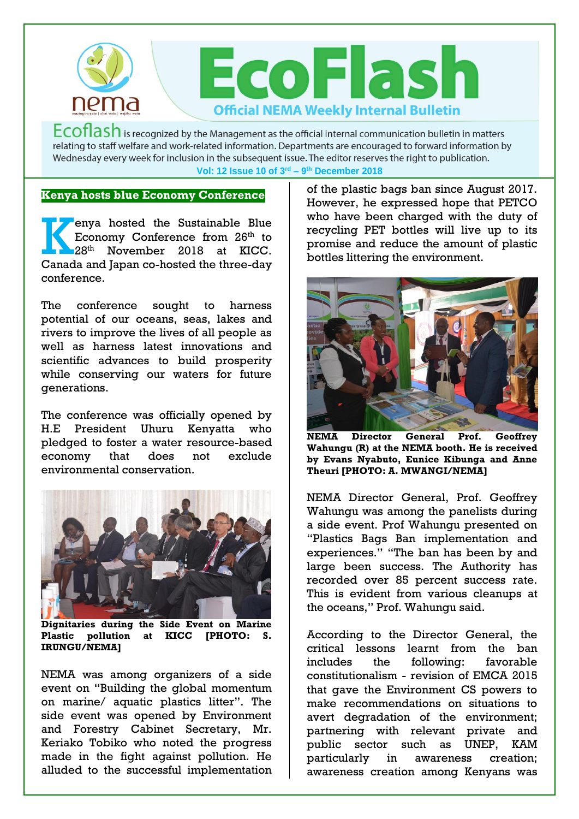

 $Ecoflash$  is recognized by the Management as the official internal communication bulletin in matters relating to staff welfare and work-related information. Departments are encouraged to forward information by Wednesday every week for inclusion in the subsequent issue. The editor reserves the right to publication. **Vol: 12 Issue 10 of 3 rd – 9 th December 2018**

### **Kenya hosts blue Economy Conference**

enya hosted the Sustainable Blue Economy Conference from 26<sup>th</sup> to 28<sup>th</sup> November 2018 at KICC. enya hosted the Sustainable Blue<br>
Economy Conference from 26<sup>th</sup> to<br>
28<sup>th</sup> November 2018 at KICC.<br>
Canada and Japan co-hosted the three-day conference.

The conference sought to harness potential of our oceans, seas, lakes and rivers to improve the lives of all people as well as harness latest innovations and scientific advances to build prosperity while conserving our waters for future generations.

The conference was officially opened by H.E President Uhuru Kenyatta who pledged to foster a water resource-based economy that does not exclude environmental conservation.



**Dignitaries during the Side Event on Marine Plastic pollution at KICC [PHOTO: S. IRUNGU/NEMA]** 

NEMA was among organizers of a side event on "Building the global momentum on marine/ aquatic plastics litter". The side event was opened by Environment and Forestry Cabinet Secretary, Mr. Keriako Tobiko who noted the progress made in the fight against pollution. He alluded to the successful implementation

of the plastic bags ban since August 2017. However, he expressed hope that PETCO who have been charged with the duty of recycling PET bottles will live up to its promise and reduce the amount of plastic bottles littering the environment.



**NEMA Director General Prof. Geoffrey Wahungu (R) at the NEMA booth. He is received by Evans Nyabuto, Eunice Kibunga and Anne Theuri [PHOTO: A. MWANGI/NEMA]** 

NEMA Director General, Prof. Geoffrey Wahungu was among the panelists during a side event. Prof Wahungu presented on "Plastics Bags Ban implementation and experiences." "The ban has been by and large been success. The Authority has recorded over 85 percent success rate. This is evident from various cleanups at the oceans," Prof. Wahungu said.

According to the Director General, the critical lessons learnt from the ban includes the following: favorable constitutionalism - revision of EMCA 2015 that gave the Environment CS powers to make recommendations on situations to avert degradation of the environment; partnering with relevant private and public sector such as UNEP, KAM particularly in awareness creation; awareness creation among Kenyans was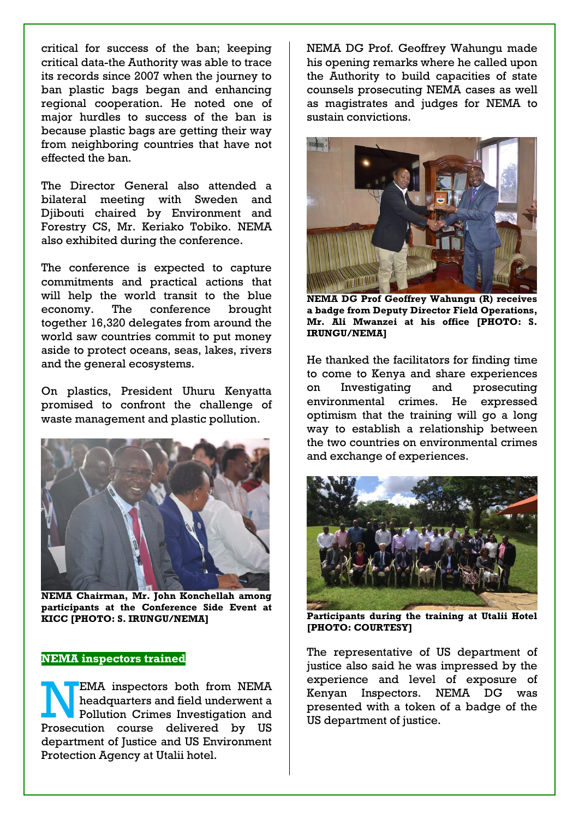critical for success of the ban; keeping critical data-the Authority was able to trace its records since 2007 when the journey to ban plastic bags began and enhancing regional cooperation. He noted one of major hurdles to success of the ban is because plastic bags are getting their way from neighboring countries that have not effected the ban.

The Director General also attended a bilateral meeting with Sweden and Djibouti chaired by Environment and Forestry CS, Mr. Keriako Tobiko. NEMA also exhibited during the conference.

The conference is expected to capture commitments and practical actions that will help the world transit to the blue economy. The conference brought together 16,320 delegates from around the world saw countries commit to put money aside to protect oceans, seas, lakes, rivers and the general ecosystems.

On plastics, President Uhuru Kenyatta promised to confront the challenge of waste management and plastic pollution.



**NEMA Chairman, Mr. John Konchellah among participants at the Conference Side Event at KICC [PHOTO: S. IRUNGU/NEMA]** 

### **NEMA inspectors trained**

EMA inspectors both from NEMA headquarters and field underwent a Pollution Crimes Investigation and Prosecution course delivered by US department of Justice and US Environment Protection Agency at Utalii hotel.

NEMA DG Prof. Geoffrey Wahungu made his opening remarks where he called upon the Authority to build capacities of state counsels prosecuting NEMA cases as well as magistrates and judges for NEMA to sustain convictions.



**NEMA DG Prof Geoffrey Wahungu (R) receives a badge from Deputy Director Field Operations, Mr. Ali Mwanzei at his office [PHOTO: S. IRUNGU/NEMA]** 

He thanked the facilitators for finding time to come to Kenya and share experiences on Investigating and prosecuting environmental crimes. He expressed optimism that the training will go a long way to establish a relationship between the two countries on environmental crimes and exchange of experiences.



**Participants during the training at Utalii Hotel [PHOTO: COURTESY]** 

The representative of US department of justice also said he was impressed by the experience and level of exposure of Kenyan Inspectors. NEMA DG was presented with a token of a badge of the US department of justice.